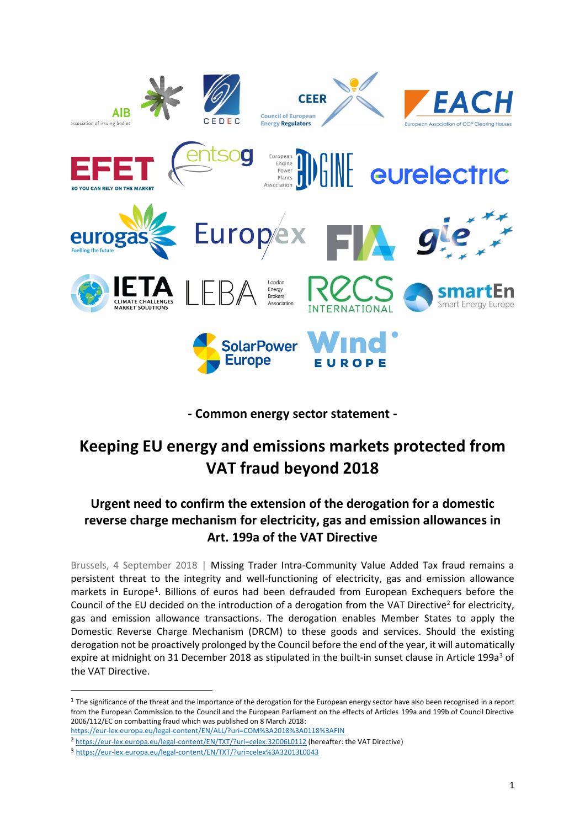

**- Common energy sector statement -**

# **Keeping EU energy and emissions markets protected from VAT fraud beyond 2018**

# **Urgent need to confirm the extension of the derogation for a domestic reverse charge mechanism for electricity, gas and emission allowances in Art. 199a of the VAT Directive**

Brussels, 4 September 2018 | Missing Trader Intra-Community Value Added Tax fraud remains a persistent threat to the integrity and well-functioning of electricity, gas and emission allowance markets in Europe<sup>1</sup>. Billions of euros had been defrauded from European Exchequers before the Council of the EU decided on the introduction of a derogation from the VAT Directive<sup>2</sup> for electricity, gas and emission allowance transactions. The derogation enables Member States to apply the Domestic Reverse Charge Mechanism (DRCM) to these goods and services. Should the existing derogation not be proactively prolonged by the Council before the end of the year, it will automatically expire at midnight on 31 December 2018 as stipulated in the built-in sunset clause in Article 199a<sup>3</sup> of the VAT Directive.

 $\overline{a}$ 

 $1$  The significance of the threat and the importance of the derogation for the European energy sector have also been recognised in a report from the European Commission to the Council and the European Parliament on the effects of Articles 199a and 199b of Council Directive 2006/112/EC on combatting fraud which was published on 8 March 2018:

https://eur-lex.europa.eu/legal-content/EN/ALL/?uri=COM%3A2018%3A0118%3AFIN

<sup>2</sup> <https://eur-lex.europa.eu/legal-content/EN/TXT/?uri=celex:32006L0112> (hereafter: the VAT Directive)

<sup>3</sup> <https://eur-lex.europa.eu/legal-content/EN/TXT/?uri=celex%3A32013L0043>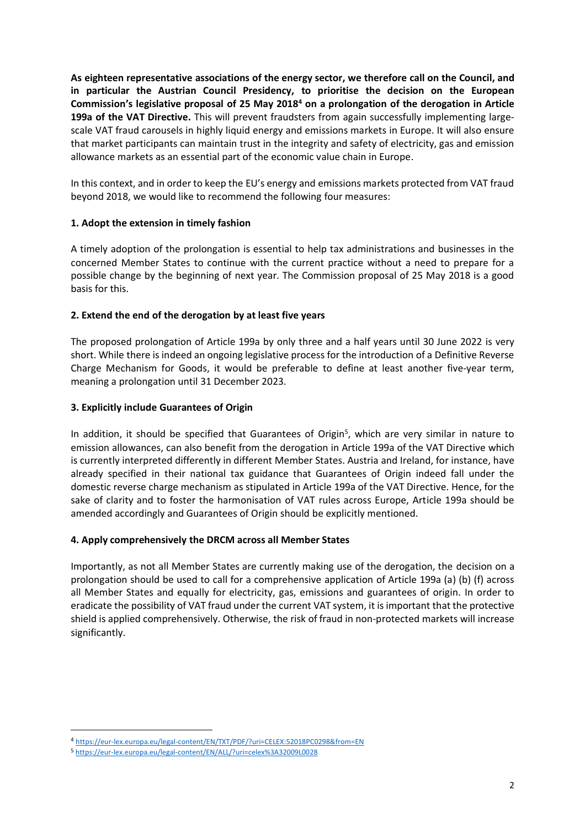**As eighteen representative associations of the energy sector, we therefore call on the Council, and in particular the Austrian Council Presidency, to prioritise the decision on the European Commission's legislative proposal of 25 May 2018<sup>4</sup> on a prolongation of the derogation in Article 199a of the VAT Directive.** This will prevent fraudsters from again successfully implementing largescale VAT fraud carousels in highly liquid energy and emissions markets in Europe. It will also ensure that market participants can maintain trust in the integrity and safety of electricity, gas and emission allowance markets as an essential part of the economic value chain in Europe.

In this context, and in order to keep the EU's energy and emissions markets protected from VAT fraud beyond 2018, we would like to recommend the following four measures:

# **1. Adopt the extension in timely fashion**

A timely adoption of the prolongation is essential to help tax administrations and businesses in the concerned Member States to continue with the current practice without a need to prepare for a possible change by the beginning of next year. The Commission proposal of 25 May 2018 is a good basis for this.

## **2. Extend the end of the derogation by at least five years**

The proposed prolongation of Article 199a by only three and a half years until 30 June 2022 is very short. While there is indeed an ongoing legislative process for the introduction of a Definitive Reverse Charge Mechanism for Goods, it would be preferable to define at least another five-year term, meaning a prolongation until 31 December 2023.

## **3. Explicitly include Guarantees of Origin**

In addition, it should be specified that Guarantees of Origin<sup>5</sup>, which are very similar in nature to emission allowances, can also benefit from the derogation in Article 199a of the VAT Directive which is currently interpreted differently in different Member States. Austria and Ireland, for instance, have already specified in their national tax guidance that Guarantees of Origin indeed fall under the domestic reverse charge mechanism as stipulated in Article 199a of the VAT Directive. Hence, for the sake of clarity and to foster the harmonisation of VAT rules across Europe, Article 199a should be amended accordingly and Guarantees of Origin should be explicitly mentioned.

### **4. Apply comprehensively the DRCM across all Member States**

Importantly, as not all Member States are currently making use of the derogation, the decision on a prolongation should be used to call for a comprehensive application of Article 199a (a) (b) (f) across all Member States and equally for electricity, gas, emissions and guarantees of origin. In order to eradicate the possibility of VAT fraud under the current VAT system, it is important that the protective shield is applied comprehensively. Otherwise, the risk of fraud in non-protected markets will increase significantly.

l

<sup>4</sup> https://eur-lex.europa.eu/legal-content/EN/TXT/PDF/?uri=CELEX:52018PC0298&from=EN

<sup>5</sup> <https://eur-lex.europa.eu/legal-content/EN/ALL/?uri=celex%3A32009L0028>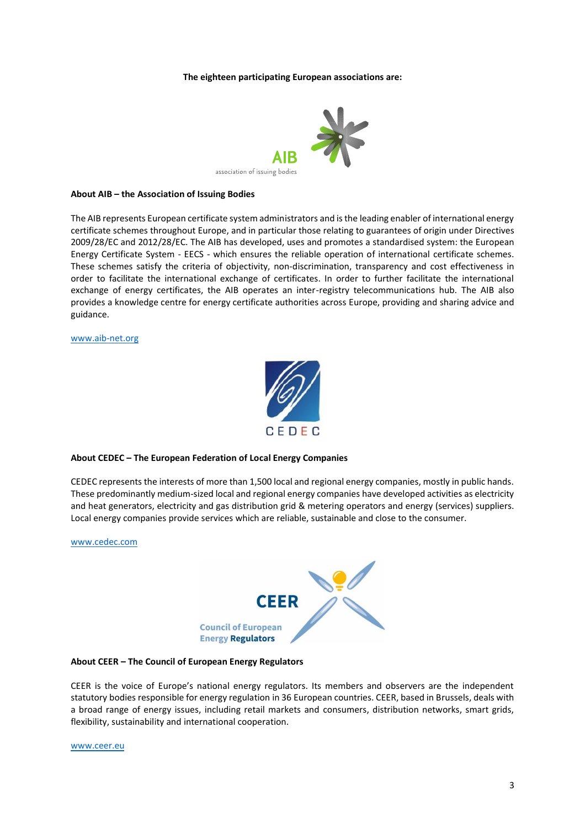#### **The eighteen participating European associations are:**



#### **About AIB – the Association of Issuing Bodies**

The AIB represents European certificate system administrators and is the leading enabler of international energy certificate schemes throughout Europe, and in particular those relating to guarantees of origin under Directives 2009/28/EC and 2012/28/EC. The AIB has developed, uses and promotes a standardised system: the European Energy Certificate System - EECS - which ensures the reliable operation of international certificate schemes. These schemes satisfy the criteria of objectivity, non-discrimination, transparency and cost effectiveness in order to facilitate the international exchange of certificates. In order to further facilitate the international exchange of energy certificates, the AIB operates an inter-registry telecommunications hub. The AIB also provides a knowledge centre for energy certificate authorities across Europe, providing and sharing advice and guidance.

#### [www.aib-net.org](http://www.aib-net.org/)



#### **About CEDEC – The European Federation of Local Energy Companies**

CEDEC represents the interests of more than 1,500 local and regional energy companies, mostly in public hands. These predominantly medium-sized local and regional energy companies have developed activities as electricity and heat generators, electricity and gas distribution grid & metering operators and energy (services) suppliers. Local energy companies provide services which are reliable, sustainable and close to the consumer.

[www.cedec.com](http://www.cedec.com/)



#### **About CEER – The Council of European Energy Regulators**

CEER is the voice of Europe's national energy regulators. Its members and observers are the independent statutory bodies responsible for energy regulation in 36 European countries. CEER, based in Brussels, deals with a broad range of energy issues, including retail markets and consumers, distribution networks, smart grids, flexibility, sustainability and international cooperation.

[www.ceer.eu](http://www.ceer.eu/)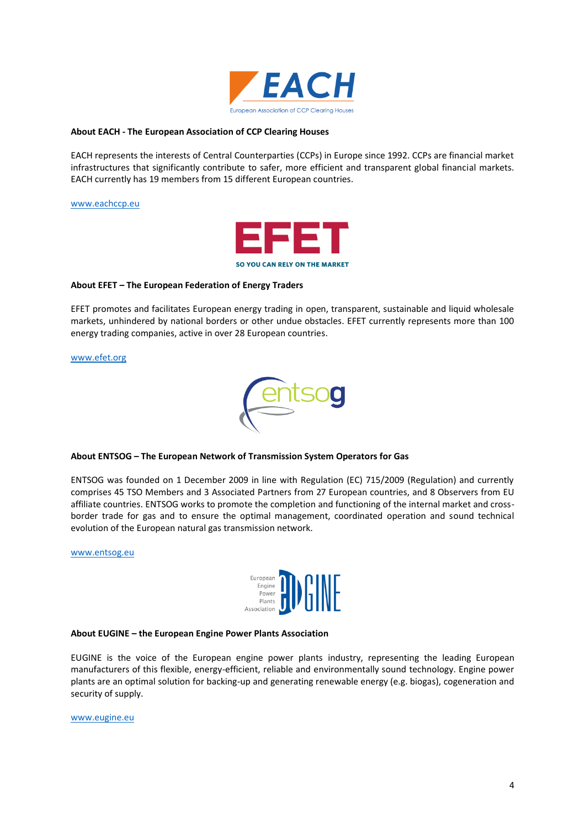

#### **About EACH - The European Association of CCP Clearing Houses**

EACH represents the interests of Central Counterparties (CCPs) in Europe since 1992. CCPs are financial market infrastructures that significantly contribute to safer, more efficient and transparent global financial markets. EACH currently has 19 members from 15 different European countries.

[www.eachccp.eu](http://www.eachccp.eu/)



#### **About EFET – The European Federation of Energy Traders**

EFET promotes and facilitates European energy trading in open, transparent, sustainable and liquid wholesale markets, unhindered by national borders or other undue obstacles. EFET currently represents more than 100 energy trading companies, active in over 28 European countries.

[www.efet.org](http://www.efet.org/)



#### **About ENTSOG – The European Network of Transmission System Operators for Gas**

ENTSOG was founded on 1 December 2009 in line with Regulation (EC) 715/2009 (Regulation) and currently comprises 45 TSO Members and 3 Associated Partners from 27 European countries, and 8 Observers from EU affiliate countries. ENTSOG works to promote the completion and functioning of the internal market and crossborder trade for gas and to ensure the optimal management, coordinated operation and sound technical evolution of the European natural gas transmission network.

[www.entsog.eu](http://www.entsog.eu/)



#### **About EUGINE – the European Engine Power Plants Association**

EUGINE is the voice of the European engine power plants industry, representing the leading European manufacturers of this flexible, energy-efficient, reliable and environmentally sound technology. Engine power plants are an optimal solution for backing-up and generating renewable energy (e.g. biogas), cogeneration and security of supply.

[www.eugine.eu](http://www.eugine.eu/)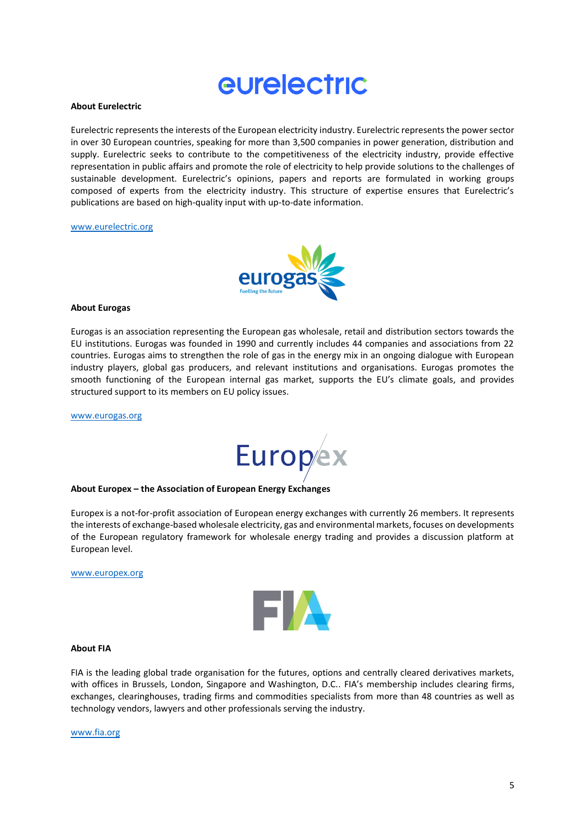# eurelectric

#### **About Eurelectric**

Eurelectric represents the interests of the European electricity industry. Eurelectric represents the power sector in over 30 European countries, speaking for more than 3,500 companies in power generation, distribution and supply. Eurelectric seeks to contribute to the competitiveness of the electricity industry, provide effective representation in public affairs and promote the role of electricity to help provide solutions to the challenges of sustainable development. Eurelectric's opinions, papers and reports are formulated in working groups composed of experts from the electricity industry. This structure of expertise ensures that Eurelectric's publications are based on high-quality input with up-to-date information.

#### [www.eurelectric.org](http://www.eurelectric.org/)



#### **About Eurogas**

Eurogas is an association representing the European gas wholesale, retail and distribution sectors towards the EU institutions. Eurogas was founded in 1990 and currently includes 44 companies and associations from 22 countries. Eurogas aims to strengthen the role of gas in the energy mix in an ongoing dialogue with European industry players, global gas producers, and relevant institutions and organisations. Eurogas promotes the smooth functioning of the European internal gas market, supports the EU's climate goals, and provides structured support to its members on EU policy issues.

[www.eurogas.org](http://www.eurogas.org/)



#### **About Europex – the Association of European Energy Exchanges**

Europex is a not-for-profit association of European energy exchanges with currently 26 members. It represents the interests of exchange-based wholesale electricity, gas and environmental markets, focuses on developments of the European regulatory framework for wholesale energy trading and provides a discussion platform at European level.

#### [www.europex.org](http://www.europex.org/)



#### **About FIA**

FIA is the leading global trade organisation for the futures, options and centrally cleared derivatives markets, with offices in Brussels, London, Singapore and Washington, D.C.. FIA's membership includes clearing firms, exchanges, clearinghouses, trading firms and commodities specialists from more than 48 countries as well as technology vendors, lawyers and other professionals serving the industry.

[www.fia.org](http://www.fia.org/)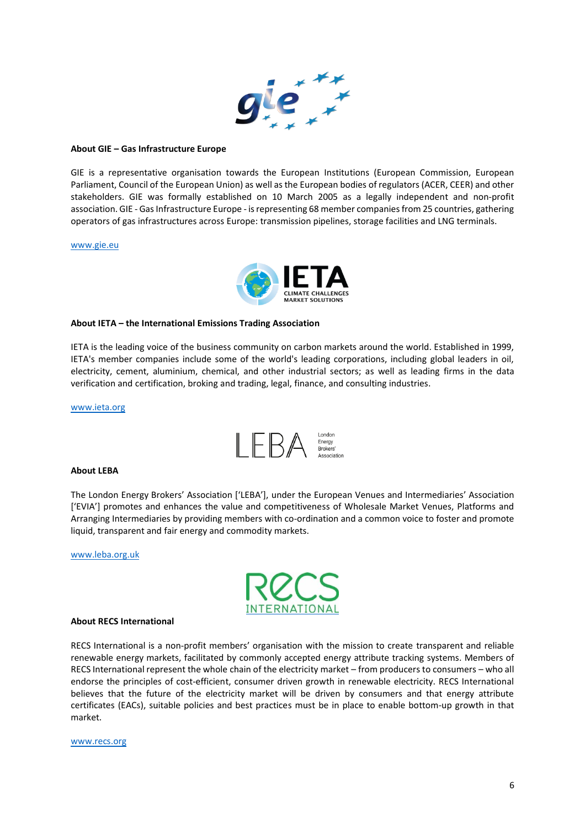

#### **About GIE – Gas Infrastructure Europe**

GIE is a representative organisation towards the European Institutions (European Commission, European Parliament, Council of the European Union) as well as the European bodies of regulators (ACER, CEER) and other stakeholders. GIE was formally established on 10 March 2005 as a legally independent and non-profit association. GIE - Gas Infrastructure Europe - is representing 68 member companies from 25 countries, gathering operators of gas infrastructures across Europe: transmission pipelines, storage facilities and LNG terminals.

#### [www.gie.eu](http://www.gie.eu/)



#### **About IETA – the International Emissions Trading Association**

IETA is the leading voice of the business community on carbon markets around the world. Established in 1999, IETA's member companies include some of the world's leading corporations, including global leaders in oil, electricity, cement, aluminium, chemical, and other industrial sectors; as well as leading firms in the data verification and certification, broking and trading, legal, finance, and consulting industries.

[www.ieta.org](http://www.ieta.org/)



#### **About LEBA**

The London Energy Brokers' Association ['LEBA'], under the European Venues and Intermediaries' Association ['EVIA'] promotes and enhances the value and competitiveness of Wholesale Market Venues, Platforms and Arranging Intermediaries by providing members with co-ordination and a common voice to foster and promote liquid, transparent and fair energy and commodity markets.

[www.leba.org.uk](http://www.leba.org.uk/)



#### **About RECS International**

RECS International is a non-profit members' organisation with the mission to create transparent and reliable renewable energy markets, facilitated by commonly accepted energy attribute tracking systems. Members of RECS International represent the whole chain of the electricity market – from producers to consumers – who all endorse the principles of cost-efficient, consumer driven growth in renewable electricity. RECS International believes that the future of the electricity market will be driven by consumers and that energy attribute certificates (EACs), suitable policies and best practices must be in place to enable bottom-up growth in that market.

#### [www.recs.org](http://www.recs.org/)